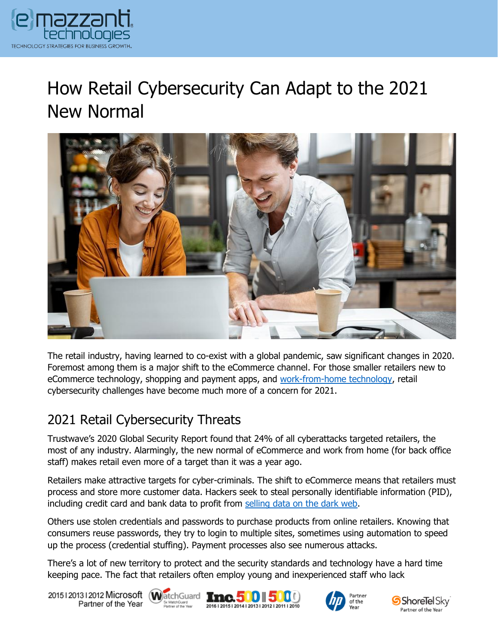

# How Retail Cybersecurity Can Adapt to the 2021 New Normal



The retail industry, having learned to co-exist with a global pandemic, saw significant changes in 2020. Foremost among them is a major shift to the eCommerce channel. For those smaller retailers new to eCommerce technology, shopping and payment apps, and [work-from-home technology,](https://www.emazzanti.net/work-from-home/) retail cybersecurity challenges have become much more of a concern for 2021.

## 2021 Retail Cybersecurity Threats

Trustwave's 2020 Global Security Report found that 24% of all cyberattacks targeted retailers, the most of any industry. Alarmingly, the new normal of eCommerce and work from home (for back office staff) makes retail even more of a target than it was a year ago.

Retailers make attractive targets for cyber-criminals. The shift to eCommerce means that retailers must process and store more customer data. Hackers seek to steal personally identifiable information (PID), including credit card and bank data to profit from [selling data on the dark web.](https://www.emazzanti.net/dark-web-monitoring/)

Others use stolen credentials and passwords to purchase products from online retailers. Knowing that consumers reuse passwords, they try to login to multiple sites, sometimes using automation to speed up the process (credential stuffing). Payment processes also see numerous attacks.

There's a lot of new territory to protect and the security standards and technology have a hard time keeping pace. The fact that retailers often employ young and inexperienced staff who lack

20151201312012 Microsoft WatchGuard Tnc. 500 500 Partner of the Year





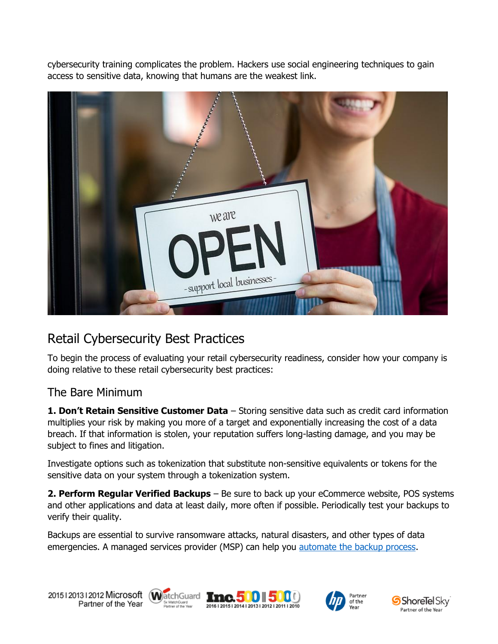cybersecurity training complicates the problem. Hackers use social engineering techniques to gain access to sensitive data, knowing that humans are the weakest link.



# Retail Cybersecurity Best Practices

To begin the process of evaluating your retail cybersecurity readiness, consider how your company is doing relative to these retail cybersecurity best practices:

#### The Bare Minimum

**1. Don't Retain Sensitive Customer Data** – Storing sensitive data such as credit card information multiplies your risk by making you more of a target and exponentially increasing the cost of a data breach. If that information is stolen, your reputation suffers long-lasting damage, and you may be subject to fines and litigation.

Investigate options such as tokenization that substitute non-sensitive equivalents or tokens for the sensitive data on your system through a tokenization system.

**2. Perform Regular Verified Backups** – Be sure to back up your eCommerce website, POS systems and other applications and data at least daily, more often if possible. Periodically test your backups to verify their quality.

Backups are essential to survive ransomware attacks, natural disasters, and other types of data emergencies. A managed services provider (MSP) can help you [automate the backup process.](https://www.emazzanti.net/ecare-cloud-backup/)









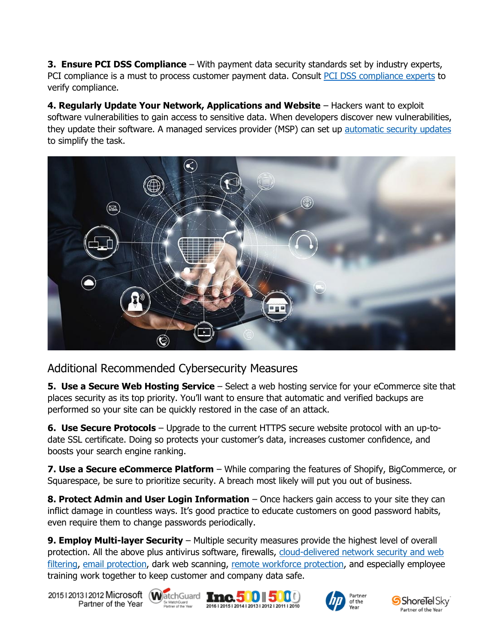**3. Ensure PCI DSS Compliance** – With payment data security standards set by industry experts, PCI compliance is a must to process customer payment data. Consult [PCI DSS compliance experts](https://www.emazzanti.net/services/retail-it/) to verify compliance.

**4. Regularly Update Your Network, Applications and Website** – Hackers want to exploit software vulnerabilities to gain access to sensitive data. When developers discover new vulnerabilities, they update their software. A managed services provider (MSP) can set up [automatic security updates](https://www.emazzanti.net/services/security-and-privacy/) to simplify the task.



#### Additional Recommended Cybersecurity Measures

**5. Use a Secure Web Hosting Service** – Select a web hosting service for your eCommerce site that places security as its top priority. You'll want to ensure that automatic and verified backups are performed so your site can be quickly restored in the case of an attack.

**6. Use Secure Protocols** – Upgrade to the current HTTPS secure website protocol with an up-todate SSL certificate. Doing so protects your customer's data, increases customer confidence, and boosts your search engine ranking.

**7. Use a Secure eCommerce Platform** – While comparing the features of Shopify, BigCommerce, or Squarespace, be sure to prioritize security. A breach most likely will put you out of business.

**8. Protect Admin and User Login Information** – Once hackers gain access to your site they can inflict damage in countless ways. It's good practice to educate customers on good password habits, even require them to change passwords periodically.

**9. Employ Multi-layer Security** – Multiple security measures provide the highest level of overall protection. All the above plus antivirus software, firewalls, [cloud-delivered network security and web](https://www.emazzanti.net/ecare-secure-route/)  [filtering,](https://www.emazzanti.net/ecare-secure-route/) [email protection,](https://www.emazzanti.net/email-protection-services/) dark web scanning, [remote workforce protection,](https://www.emazzanti.net/work-from-home/) and especially employee training work together to keep customer and company data safe.

20151201312012 Microsoft WatchGuard **Inc.500 500** Partner of the Year